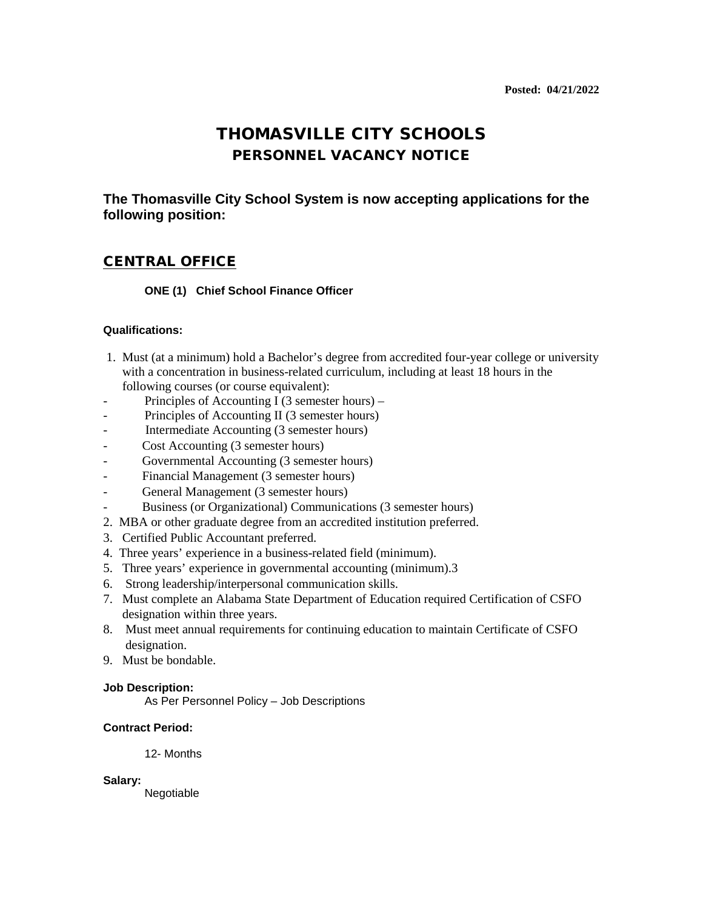# THOMASVILLE CITY SCHOOLS PERSONNEL VACANCY NOTICE

**The Thomasville City School System is now accepting applications for the following position:**

## CENTRAL OFFICE

### **ONE (1) Chief School Finance Officer**

#### **Qualifications:**

- 1. Must (at a minimum) hold a Bachelor's degree from accredited four-year college or university with a concentration in business-related curriculum, including at least 18 hours in the following courses (or course equivalent):
- Principles of Accounting I (3 semester hours) –
- Principles of Accounting II (3 semester hours)
- Intermediate Accounting (3 semester hours)
- Cost Accounting (3 semester hours)
- Governmental Accounting (3 semester hours)
- Financial Management (3 semester hours)
- General Management (3 semester hours)
- Business (or Organizational) Communications (3 semester hours)
- 2. MBA or other graduate degree from an accredited institution preferred.
- 3. Certified Public Accountant preferred.
- 4. Three years' experience in a business-related field (minimum).
- 5. Three years' experience in governmental accounting (minimum).3
- 6. Strong leadership/interpersonal communication skills.
- 7. Must complete an Alabama State Department of Education required Certification of CSFO designation within three years.
- 8. Must meet annual requirements for continuing education to maintain Certificate of CSFO designation.
- 9. Must be bondable.

#### **Job Description:**

As Per Personnel Policy – Job Descriptions

#### **Contract Period:**

12- Months

#### **Salary:**

Negotiable